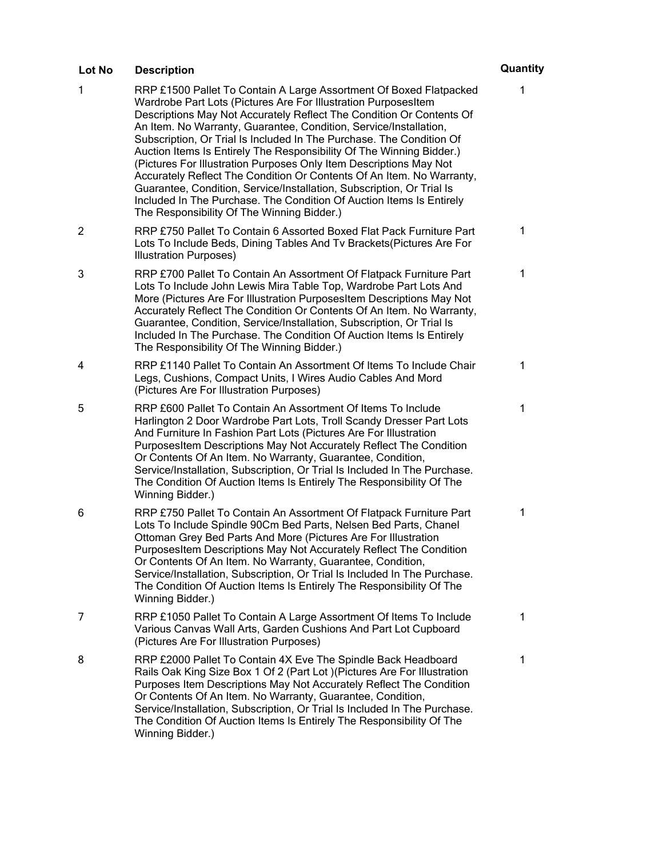## 1 RRP £1500 Pallet To Contain A Large Assortment Of Boxed Flatpacked Wardrobe Part Lots (Pictures Are For Illustration PurposesItem Descriptions May Not Accurately Reflect The Condition Or Contents Of An Item. No Warranty, Guarantee, Condition, Service/Installation, Subscription, Or Trial Is Included In The Purchase. The Condition Of Auction Items Is Entirely The Responsibility Of The Winning Bidder.) (Pictures For Illustration Purposes Only Item Descriptions May Not Accurately Reflect The Condition Or Contents Of An Item. No Warranty, Guarantee, Condition, Service/Installation, Subscription, Or Trial Is Included In The Purchase. The Condition Of Auction Items Is Entirely The Responsibility Of The Winning Bidder.) 1 2 RRP £750 Pallet To Contain 6 Assorted Boxed Flat Pack Furniture Part Lots To Include Beds, Dining Tables And Tv Brackets(Pictures Are For Illustration Purposes) 1 3 RRP £700 Pallet To Contain An Assortment Of Flatpack Furniture Part Lots To Include John Lewis Mira Table Top, Wardrobe Part Lots And More (Pictures Are For Illustration PurposesItem Descriptions May Not Accurately Reflect The Condition Or Contents Of An Item. No Warranty, Guarantee, Condition, Service/Installation, Subscription, Or Trial Is Included In The Purchase. The Condition Of Auction Items Is Entirely The Responsibility Of The Winning Bidder.) 1 4 RRP £1140 Pallet To Contain An Assortment Of Items To Include Chair Legs, Cushions, Compact Units, I Wires Audio Cables And Mord (Pictures Are For Illustration Purposes) 1 5 RRP £600 Pallet To Contain An Assortment Of Items To Include Harlington 2 Door Wardrobe Part Lots, Troll Scandy Dresser Part Lots And Furniture In Fashion Part Lots (Pictures Are For Illustration PurposesItem Descriptions May Not Accurately Reflect The Condition Or Contents Of An Item. No Warranty, Guarantee, Condition, Service/Installation, Subscription, Or Trial Is Included In The Purchase. The Condition Of Auction Items Is Entirely The Responsibility Of The Winning Bidder.) 1 6 RRP £750 Pallet To Contain An Assortment Of Flatpack Furniture Part Lots To Include Spindle 90Cm Bed Parts, Nelsen Bed Parts, Chanel Ottoman Grey Bed Parts And More (Pictures Are For Illustration PurposesItem Descriptions May Not Accurately Reflect The Condition Or Contents Of An Item. No Warranty, Guarantee, Condition, Service/Installation, Subscription, Or Trial Is Included In The Purchase. The Condition Of Auction Items Is Entirely The Responsibility Of The Winning Bidder.) 1 7 RRP £1050 Pallet To Contain A Large Assortment Of Items To Include Various Canvas Wall Arts, Garden Cushions And Part Lot Cupboard (Pictures Are For Illustration Purposes) 1 8 RRP £2000 Pallet To Contain 4X Eve The Spindle Back Headboard Rails Oak King Size Box 1 Of 2 (Part Lot )(Pictures Are For Illustration Purposes Item Descriptions May Not Accurately Reflect The Condition Or Contents Of An Item. No Warranty, Guarantee, Condition, Service/Installation, Subscription, Or Trial Is Included In The Purchase. The Condition Of Auction Items Is Entirely The Responsibility Of The Winning Bidder.) 1 **Lot No Description Quantity**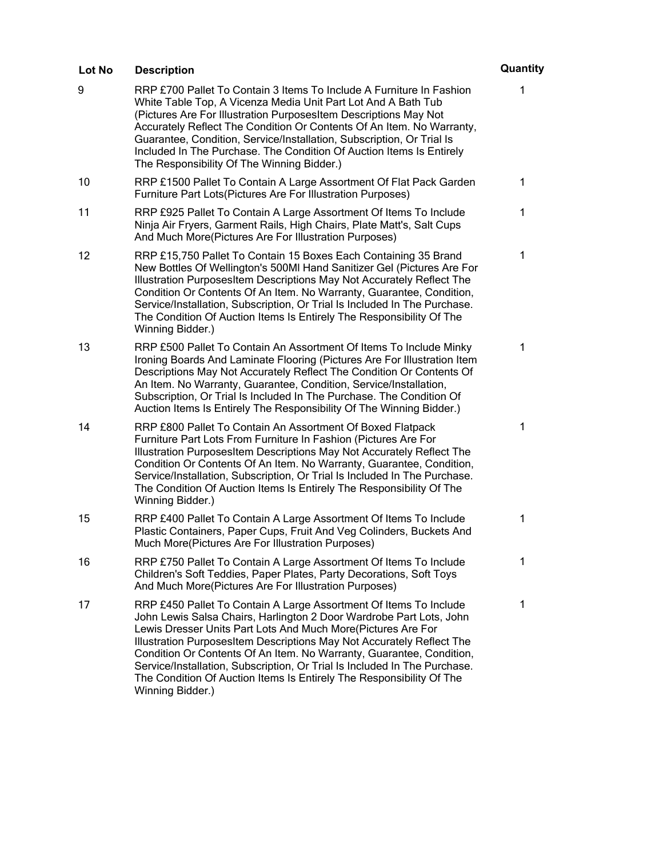| Lot No | <b>Description</b>                                                                                                                                                                                                                                                                                                                                                                                                                                                                                                                 | Quantity |
|--------|------------------------------------------------------------------------------------------------------------------------------------------------------------------------------------------------------------------------------------------------------------------------------------------------------------------------------------------------------------------------------------------------------------------------------------------------------------------------------------------------------------------------------------|----------|
| 9      | RRP £700 Pallet To Contain 3 Items To Include A Furniture In Fashion<br>White Table Top, A Vicenza Media Unit Part Lot And A Bath Tub<br>(Pictures Are For Illustration PurposesItem Descriptions May Not<br>Accurately Reflect The Condition Or Contents Of An Item. No Warranty,<br>Guarantee, Condition, Service/Installation, Subscription, Or Trial Is<br>Included In The Purchase. The Condition Of Auction Items Is Entirely<br>The Responsibility Of The Winning Bidder.)                                                  | 1        |
| 10     | RRP £1500 Pallet To Contain A Large Assortment Of Flat Pack Garden<br>Furniture Part Lots(Pictures Are For Illustration Purposes)                                                                                                                                                                                                                                                                                                                                                                                                  | 1        |
| 11     | RRP £925 Pallet To Contain A Large Assortment Of Items To Include<br>Ninja Air Fryers, Garment Rails, High Chairs, Plate Matt's, Salt Cups<br>And Much More(Pictures Are For Illustration Purposes)                                                                                                                                                                                                                                                                                                                                | 1        |
| 12     | RRP £15,750 Pallet To Contain 15 Boxes Each Containing 35 Brand<br>New Bottles Of Wellington's 500MI Hand Sanitizer Gel (Pictures Are For<br>Illustration PurposesItem Descriptions May Not Accurately Reflect The<br>Condition Or Contents Of An Item. No Warranty, Guarantee, Condition,<br>Service/Installation, Subscription, Or Trial Is Included In The Purchase.<br>The Condition Of Auction Items Is Entirely The Responsibility Of The<br>Winning Bidder.)                                                                | 1        |
| 13     | RRP £500 Pallet To Contain An Assortment Of Items To Include Minky<br>Ironing Boards And Laminate Flooring (Pictures Are For Illustration Item<br>Descriptions May Not Accurately Reflect The Condition Or Contents Of<br>An Item. No Warranty, Guarantee, Condition, Service/Installation,<br>Subscription, Or Trial Is Included In The Purchase. The Condition Of<br>Auction Items Is Entirely The Responsibility Of The Winning Bidder.)                                                                                        | 1        |
| 14     | RRP £800 Pallet To Contain An Assortment Of Boxed Flatpack<br>Furniture Part Lots From Furniture In Fashion (Pictures Are For<br>Illustration PurposesItem Descriptions May Not Accurately Reflect The<br>Condition Or Contents Of An Item. No Warranty, Guarantee, Condition,<br>Service/Installation, Subscription, Or Trial Is Included In The Purchase.<br>The Condition Of Auction Items Is Entirely The Responsibility Of The<br>Winning Bidder.)                                                                            | 1        |
| 15     | RRP £400 Pallet To Contain A Large Assortment Of Items To Include<br>Plastic Containers, Paper Cups, Fruit And Veg Colinders, Buckets And<br>Much More(Pictures Are For Illustration Purposes)                                                                                                                                                                                                                                                                                                                                     | 1        |
| 16     | RRP £750 Pallet To Contain A Large Assortment Of Items To Include<br>Children's Soft Teddies, Paper Plates, Party Decorations, Soft Toys<br>And Much More(Pictures Are For Illustration Purposes)                                                                                                                                                                                                                                                                                                                                  | 1        |
| 17     | RRP £450 Pallet To Contain A Large Assortment Of Items To Include<br>John Lewis Salsa Chairs, Harlington 2 Door Wardrobe Part Lots, John<br>Lewis Dresser Units Part Lots And Much More(Pictures Are For<br>Illustration PurposesItem Descriptions May Not Accurately Reflect The<br>Condition Or Contents Of An Item. No Warranty, Guarantee, Condition,<br>Service/Installation, Subscription, Or Trial Is Included In The Purchase.<br>The Condition Of Auction Items Is Entirely The Responsibility Of The<br>Winning Bidder.) | 1        |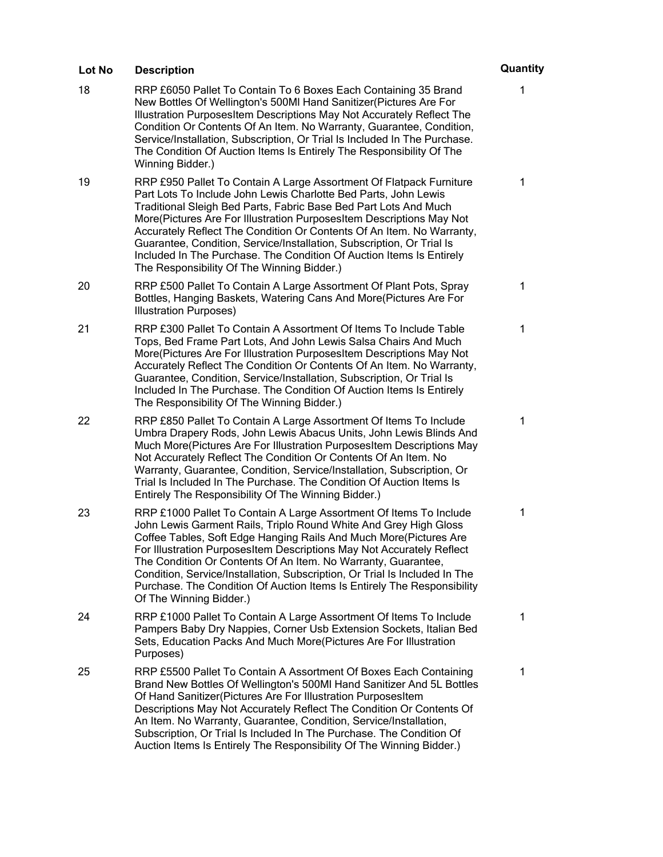| Lot No | <b>Description</b>                                                                                                                                                                                                                                                                                                                                                                                                                                                                                                                                         | Quantity |
|--------|------------------------------------------------------------------------------------------------------------------------------------------------------------------------------------------------------------------------------------------------------------------------------------------------------------------------------------------------------------------------------------------------------------------------------------------------------------------------------------------------------------------------------------------------------------|----------|
| 18     | RRP £6050 Pallet To Contain To 6 Boxes Each Containing 35 Brand<br>New Bottles Of Wellington's 500MI Hand Sanitizer (Pictures Are For<br>Illustration PurposesItem Descriptions May Not Accurately Reflect The<br>Condition Or Contents Of An Item. No Warranty, Guarantee, Condition,<br>Service/Installation, Subscription, Or Trial Is Included In The Purchase.<br>The Condition Of Auction Items Is Entirely The Responsibility Of The<br>Winning Bidder.)                                                                                            | 1        |
| 19     | RRP £950 Pallet To Contain A Large Assortment Of Flatpack Furniture<br>Part Lots To Include John Lewis Charlotte Bed Parts, John Lewis<br>Traditional Sleigh Bed Parts, Fabric Base Bed Part Lots And Much<br>More(Pictures Are For Illustration PurposesItem Descriptions May Not<br>Accurately Reflect The Condition Or Contents Of An Item. No Warranty,<br>Guarantee, Condition, Service/Installation, Subscription, Or Trial Is<br>Included In The Purchase. The Condition Of Auction Items Is Entirely<br>The Responsibility Of The Winning Bidder.) | 1        |
| 20     | RRP £500 Pallet To Contain A Large Assortment Of Plant Pots, Spray<br>Bottles, Hanging Baskets, Watering Cans And More(Pictures Are For<br><b>Illustration Purposes)</b>                                                                                                                                                                                                                                                                                                                                                                                   | 1        |
| 21     | RRP £300 Pallet To Contain A Assortment Of Items To Include Table<br>Tops, Bed Frame Part Lots, And John Lewis Salsa Chairs And Much<br>More(Pictures Are For Illustration PurposesItem Descriptions May Not<br>Accurately Reflect The Condition Or Contents Of An Item. No Warranty,<br>Guarantee, Condition, Service/Installation, Subscription, Or Trial Is<br>Included In The Purchase. The Condition Of Auction Items Is Entirely<br>The Responsibility Of The Winning Bidder.)                                                                       | 1        |
| 22     | RRP £850 Pallet To Contain A Large Assortment Of Items To Include<br>Umbra Drapery Rods, John Lewis Abacus Units, John Lewis Blinds And<br>Much More(Pictures Are For Illustration PurposesItem Descriptions May<br>Not Accurately Reflect The Condition Or Contents Of An Item. No<br>Warranty, Guarantee, Condition, Service/Installation, Subscription, Or<br>Trial Is Included In The Purchase. The Condition Of Auction Items Is<br>Entirely The Responsibility Of The Winning Bidder.)                                                               | 1        |
| 23     | RRP £1000 Pallet To Contain A Large Assortment Of Items To Include<br>John Lewis Garment Rails, Triplo Round White And Grey High Gloss<br>Coffee Tables, Soft Edge Hanging Rails And Much More(Pictures Are<br>For Illustration PurposesItem Descriptions May Not Accurately Reflect<br>The Condition Or Contents Of An Item. No Warranty, Guarantee,<br>Condition, Service/Installation, Subscription, Or Trial Is Included In The<br>Purchase. The Condition Of Auction Items Is Entirely The Responsibility<br>Of The Winning Bidder.)                  | 1        |
| 24     | RRP £1000 Pallet To Contain A Large Assortment Of Items To Include<br>Pampers Baby Dry Nappies, Corner Usb Extension Sockets, Italian Bed<br>Sets, Education Packs And Much More(Pictures Are For Illustration<br>Purposes)                                                                                                                                                                                                                                                                                                                                | 1        |
| 25     | RRP £5500 Pallet To Contain A Assortment Of Boxes Each Containing<br>Brand New Bottles Of Wellington's 500MI Hand Sanitizer And 5L Bottles<br>Of Hand Sanitizer (Pictures Are For Illustration PurposesItem<br>Descriptions May Not Accurately Reflect The Condition Or Contents Of<br>An Item. No Warranty, Guarantee, Condition, Service/Installation,<br>Subscription, Or Trial Is Included In The Purchase. The Condition Of<br>Auction Items Is Entirely The Responsibility Of The Winning Bidder.)                                                   | 1        |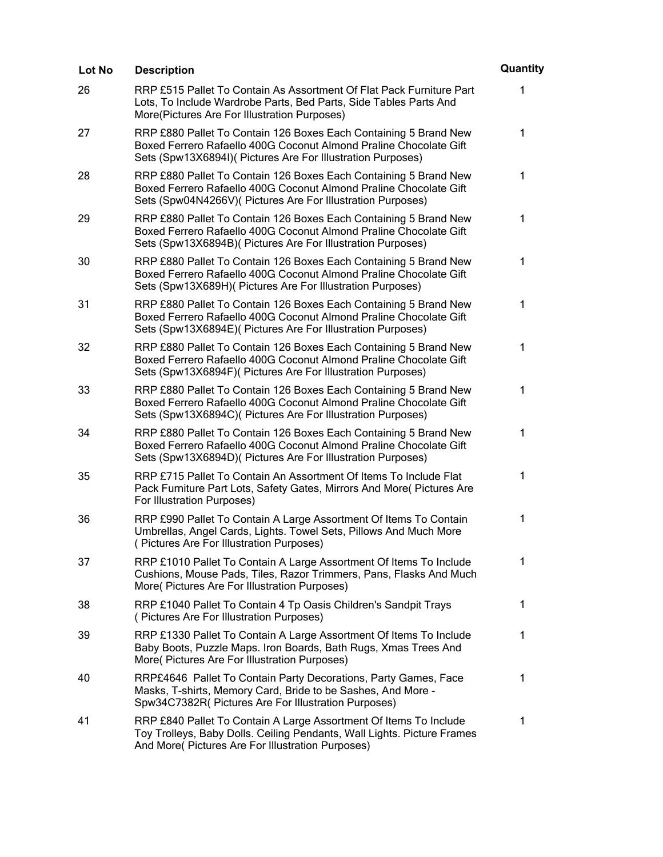| <b>Lot No</b> | <b>Description</b>                                                                                                                                                                                   | Quantity     |
|---------------|------------------------------------------------------------------------------------------------------------------------------------------------------------------------------------------------------|--------------|
| 26            | RRP £515 Pallet To Contain As Assortment Of Flat Pack Furniture Part<br>Lots, To Include Wardrobe Parts, Bed Parts, Side Tables Parts And<br>More(Pictures Are For Illustration Purposes)            | 1            |
| 27            | RRP £880 Pallet To Contain 126 Boxes Each Containing 5 Brand New<br>Boxed Ferrero Rafaello 400G Coconut Almond Praline Chocolate Gift<br>Sets (Spw13X6894I)( Pictures Are For Illustration Purposes) | 1            |
| 28            | RRP £880 Pallet To Contain 126 Boxes Each Containing 5 Brand New<br>Boxed Ferrero Rafaello 400G Coconut Almond Praline Chocolate Gift<br>Sets (Spw04N4266V) (Pictures Are For Illustration Purposes) | $\mathbf{1}$ |
| 29            | RRP £880 Pallet To Contain 126 Boxes Each Containing 5 Brand New<br>Boxed Ferrero Rafaello 400G Coconut Almond Praline Chocolate Gift<br>Sets (Spw13X6894B)( Pictures Are For Illustration Purposes) | $\mathbf 1$  |
| 30            | RRP £880 Pallet To Contain 126 Boxes Each Containing 5 Brand New<br>Boxed Ferrero Rafaello 400G Coconut Almond Praline Chocolate Gift<br>Sets (Spw13X689H)( Pictures Are For Illustration Purposes)  | $\mathbf 1$  |
| 31            | RRP £880 Pallet To Contain 126 Boxes Each Containing 5 Brand New<br>Boxed Ferrero Rafaello 400G Coconut Almond Praline Chocolate Gift<br>Sets (Spw13X6894E)( Pictures Are For Illustration Purposes) | 1            |
| 32            | RRP £880 Pallet To Contain 126 Boxes Each Containing 5 Brand New<br>Boxed Ferrero Rafaello 400G Coconut Almond Praline Chocolate Gift<br>Sets (Spw13X6894F)( Pictures Are For Illustration Purposes) | 1            |
| 33            | RRP £880 Pallet To Contain 126 Boxes Each Containing 5 Brand New<br>Boxed Ferrero Rafaello 400G Coconut Almond Praline Chocolate Gift<br>Sets (Spw13X6894C)( Pictures Are For Illustration Purposes) | $\mathbf 1$  |
| 34            | RRP £880 Pallet To Contain 126 Boxes Each Containing 5 Brand New<br>Boxed Ferrero Rafaello 400G Coconut Almond Praline Chocolate Gift<br>Sets (Spw13X6894D)( Pictures Are For Illustration Purposes) | $\mathbf{1}$ |
| 35            | RRP £715 Pallet To Contain An Assortment Of Items To Include Flat<br>Pack Furniture Part Lots, Safety Gates, Mirrors And More( Pictures Are<br>For Illustration Purposes)                            | 1            |
| 36            | RRP £990 Pallet To Contain A Large Assortment Of Items To Contain<br>Umbrellas, Angel Cards, Lights. Towel Sets, Pillows And Much More<br>(Pictures Are For Illustration Purposes)                   | 1            |
| 37            | RRP £1010 Pallet To Contain A Large Assortment Of Items To Include<br>Cushions, Mouse Pads, Tiles, Razor Trimmers, Pans, Flasks And Much<br>More( Pictures Are For Illustration Purposes)            | 1            |
| 38            | RRP £1040 Pallet To Contain 4 Tp Oasis Children's Sandpit Trays<br>(Pictures Are For Illustration Purposes)                                                                                          | 1            |
| 39            | RRP £1330 Pallet To Contain A Large Assortment Of Items To Include<br>Baby Boots, Puzzle Maps. Iron Boards, Bath Rugs, Xmas Trees And<br>More( Pictures Are For Illustration Purposes)               | 1            |
| 40            | RRP£4646 Pallet To Contain Party Decorations, Party Games, Face<br>Masks, T-shirts, Memory Card, Bride to be Sashes, And More -<br>Spw34C7382R( Pictures Are For Illustration Purposes)              | 1            |
| 41            | RRP £840 Pallet To Contain A Large Assortment Of Items To Include<br>Toy Trolleys, Baby Dolls. Ceiling Pendants, Wall Lights. Picture Frames<br>And More( Pictures Are For Illustration Purposes)    | 1            |
|               |                                                                                                                                                                                                      |              |